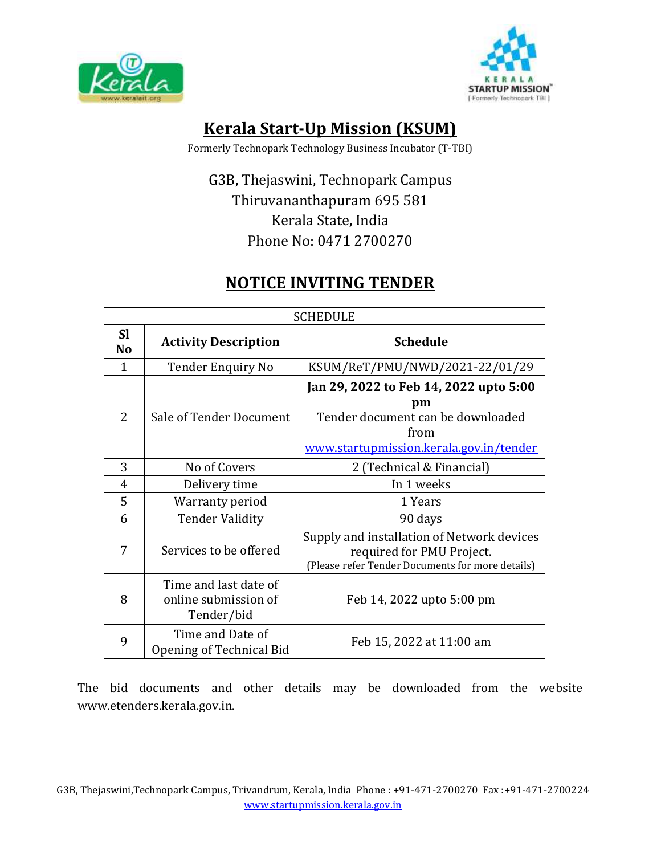



# **Kerala Start-Up Mission (KSUM)**

Formerly Technopark Technology Business Incubator (T-TBI)

# G3B, Thejaswini, Technopark Campus Thiruvananthapuram 695 581 Kerala State, India Phone No: 0471 2700270

# **NOTICE INVITING TENDER**

| <b>SCHEDULE</b>             |                                                             |                                                                                                                                      |  |
|-----------------------------|-------------------------------------------------------------|--------------------------------------------------------------------------------------------------------------------------------------|--|
| <b>SI</b><br>N <sub>o</sub> | <b>Activity Description</b>                                 | <b>Schedule</b>                                                                                                                      |  |
| 1                           | <b>Tender Enquiry No</b>                                    | KSUM/ReT/PMU/NWD/2021-22/01/29                                                                                                       |  |
| 2                           | Sale of Tender Document                                     | Jan 29, 2022 to Feb 14, 2022 upto 5:00<br>pm<br>Tender document can be downloaded<br>from<br>www.startupmission.kerala.gov.in/tender |  |
| 3                           | No of Covers                                                | 2 (Technical & Financial)                                                                                                            |  |
| $\overline{4}$              | Delivery time                                               | In 1 weeks                                                                                                                           |  |
| 5                           | Warranty period                                             | 1 Years                                                                                                                              |  |
| 6                           | <b>Tender Validity</b>                                      | 90 days                                                                                                                              |  |
| 7                           | Services to be offered                                      | Supply and installation of Network devices<br>required for PMU Project.<br>(Please refer Tender Documents for more details)          |  |
| 8                           | Time and last date of<br>online submission of<br>Tender/bid | Feb 14, 2022 upto 5:00 pm                                                                                                            |  |
| 9                           | Time and Date of<br>Opening of Technical Bid                | Feb 15, 2022 at 11:00 am                                                                                                             |  |

The bid documents and other details may be downloaded from the website www.etenders.kerala.gov.in.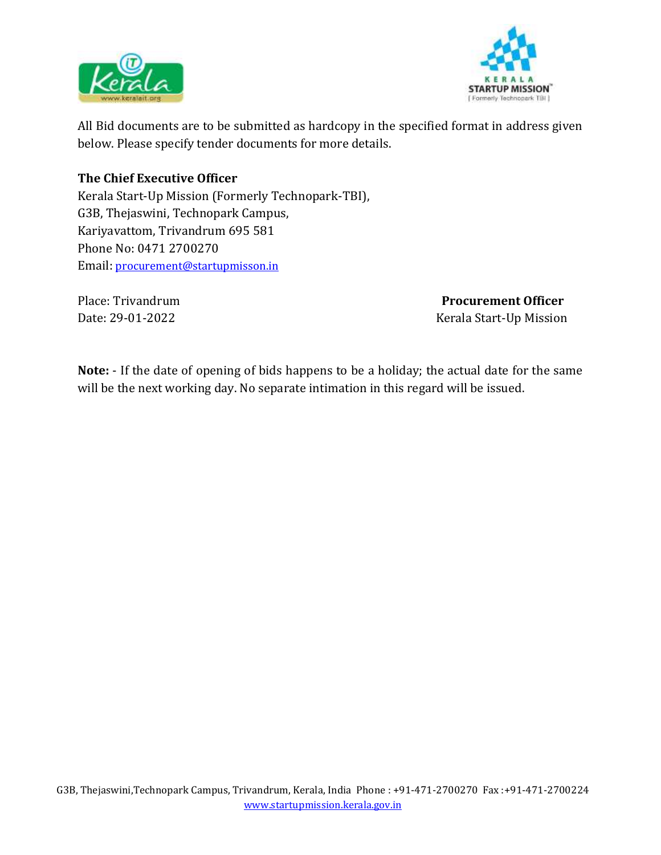



All Bid documents are to be submitted as hardcopy in the specified format in address given below. Please specify tender documents for more details.

### **The Chief Executive Officer**

Kerala Start-Up Mission (Formerly Technopark-TBI), G3B, Thejaswini, Technopark Campus, Kariyavattom, Trivandrum 695 581 Phone No: 0471 2700270 Email: [procurement@startupmisson.in](mailto:procurement@startupmisson.in)

Place: Trivandrum **Procurement Officer** Date: 29-01-2022 Kerala Start-Up Mission

**Note:** - If the date of opening of bids happens to be a holiday; the actual date for the same will be the next working day. No separate intimation in this regard will be issued.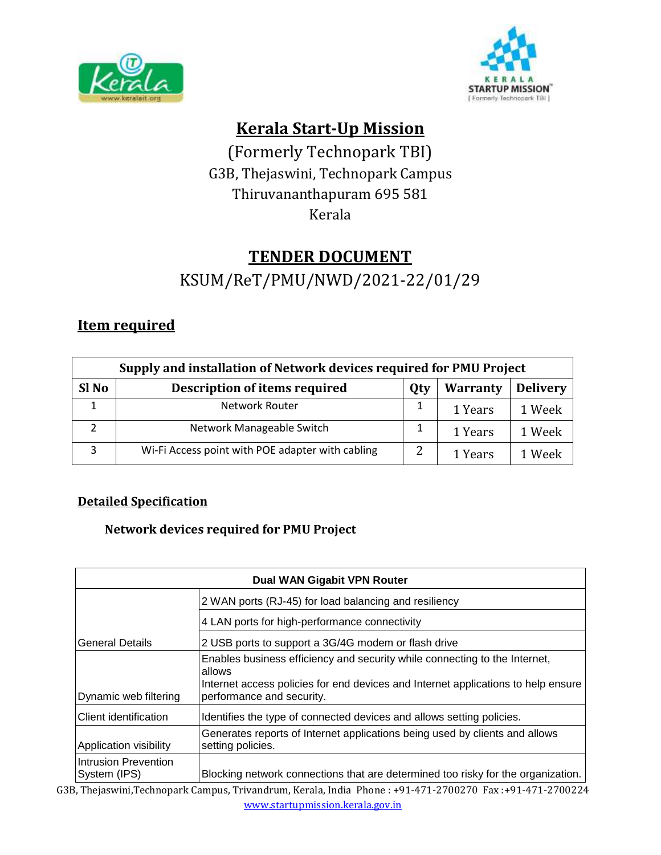



# **Kerala Start-Up Mission**

(Formerly Technopark TBI) G3B, Thejaswini, Technopark Campus Thiruvananthapuram 695 581 Kerala

# **TENDER DOCUMENT**

KSUM/ReT/PMU/NWD/2021-22/01/29

# **Item required**

| Supply and installation of Network devices required for PMU Project |                                                                                   |   |         |        |  |
|---------------------------------------------------------------------|-----------------------------------------------------------------------------------|---|---------|--------|--|
| Sl <sub>No</sub>                                                    | <b>Description of items required</b><br><b>Delivery</b><br><b>Warranty</b><br>Qty |   |         |        |  |
|                                                                     | Network Router                                                                    |   | 1 Years | 1 Week |  |
|                                                                     | Network Manageable Switch                                                         |   | 1 Years | 1 Week |  |
| 3                                                                   | Wi-Fi Access point with POE adapter with cabling                                  | っ | 1 Years | 1 Week |  |

## **Detailed Specification**

## **Network devices required for PMU Project**

| <b>Dual WAN Gigabit VPN Router</b>                                            |                                                                                                                                                                                                        |  |  |
|-------------------------------------------------------------------------------|--------------------------------------------------------------------------------------------------------------------------------------------------------------------------------------------------------|--|--|
|                                                                               | 2 WAN ports (RJ-45) for load balancing and resiliency                                                                                                                                                  |  |  |
|                                                                               | 4 LAN ports for high-performance connectivity                                                                                                                                                          |  |  |
| <b>General Details</b><br>2 USB ports to support a 3G/4G modem or flash drive |                                                                                                                                                                                                        |  |  |
| Dynamic web filtering                                                         | Enables business efficiency and security while connecting to the Internet,<br>allows<br>Internet access policies for end devices and Internet applications to help ensure<br>performance and security. |  |  |
| Client identification                                                         | Identifies the type of connected devices and allows setting policies.                                                                                                                                  |  |  |
| Application visibility                                                        | Generates reports of Internet applications being used by clients and allows<br>setting policies.                                                                                                       |  |  |
| Intrusion Prevention<br>System (IPS)                                          | Blocking network connections that are determined too risky for the organization.                                                                                                                       |  |  |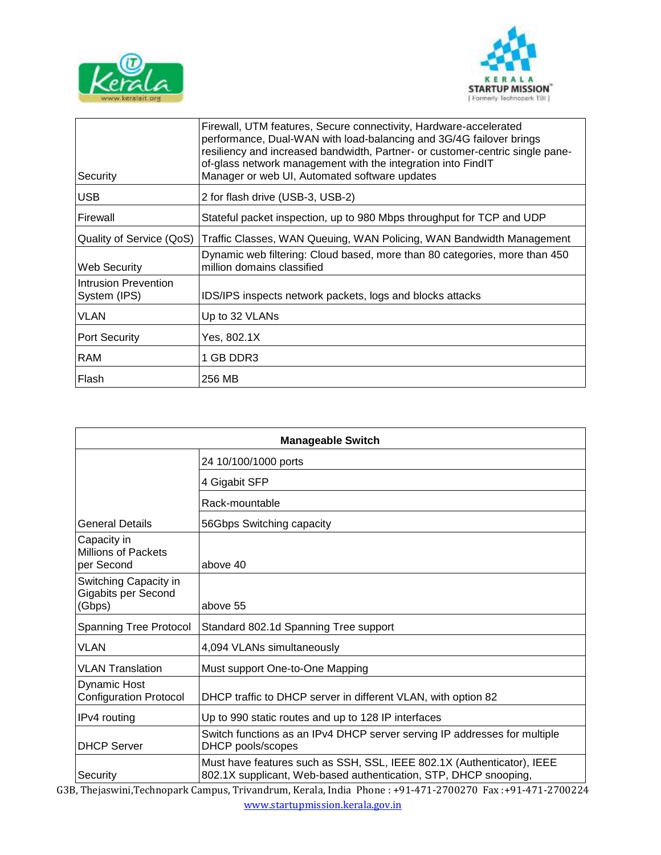



| Security                             | Firewall, UTM features, Secure connectivity, Hardware-accelerated<br>performance, Dual-WAN with load-balancing and 3G/4G failover brings<br>resiliency and increased bandwidth, Partner- or customer-centric single pane-<br>of-glass network management with the integration into FindIT<br>Manager or web UI, Automated software updates |
|--------------------------------------|--------------------------------------------------------------------------------------------------------------------------------------------------------------------------------------------------------------------------------------------------------------------------------------------------------------------------------------------|
| <b>USB</b>                           | 2 for flash drive (USB-3, USB-2)                                                                                                                                                                                                                                                                                                           |
| Firewall                             | Stateful packet inspection, up to 980 Mbps throughput for TCP and UDP                                                                                                                                                                                                                                                                      |
| Quality of Service (QoS)             | Traffic Classes, WAN Queuing, WAN Policing, WAN Bandwidth Management                                                                                                                                                                                                                                                                       |
| Web Security                         | Dynamic web filtering: Cloud based, more than 80 categories, more than 450<br>million domains classified                                                                                                                                                                                                                                   |
| Intrusion Prevention<br>System (IPS) | IDS/IPS inspects network packets, logs and blocks attacks                                                                                                                                                                                                                                                                                  |
| <b>VLAN</b>                          | Up to 32 VLANs                                                                                                                                                                                                                                                                                                                             |
| <b>Port Security</b>                 | Yes, 802.1X                                                                                                                                                                                                                                                                                                                                |
| <b>RAM</b>                           | 1 GB DDR3                                                                                                                                                                                                                                                                                                                                  |
| Flash                                | 256 MB                                                                                                                                                                                                                                                                                                                                     |

| <b>Manageable Switch</b>                                |                                                                                                                                            |  |  |
|---------------------------------------------------------|--------------------------------------------------------------------------------------------------------------------------------------------|--|--|
|                                                         | 24 10/100/1000 ports                                                                                                                       |  |  |
|                                                         | 4 Gigabit SFP                                                                                                                              |  |  |
|                                                         | Rack-mountable                                                                                                                             |  |  |
| <b>General Details</b>                                  | 56Gbps Switching capacity                                                                                                                  |  |  |
| Capacity in<br><b>Millions of Packets</b><br>per Second | above 40                                                                                                                                   |  |  |
| Switching Capacity in<br>Gigabits per Second<br>(Gbps)  | above 55                                                                                                                                   |  |  |
| <b>Spanning Tree Protocol</b>                           | Standard 802.1d Spanning Tree support                                                                                                      |  |  |
| <b>VLAN</b>                                             | 4,094 VLANs simultaneously                                                                                                                 |  |  |
| <b>VLAN Translation</b>                                 | Must support One-to-One Mapping                                                                                                            |  |  |
| <b>Dynamic Host</b><br><b>Configuration Protocol</b>    | DHCP traffic to DHCP server in different VLAN, with option 82                                                                              |  |  |
| IPv4 routing                                            | Up to 990 static routes and up to 128 IP interfaces                                                                                        |  |  |
| <b>DHCP Server</b>                                      | Switch functions as an IPv4 DHCP server serving IP addresses for multiple<br>DHCP pools/scopes                                             |  |  |
| Security                                                | Must have features such as SSH, SSL, IEEE 802.1X (Authenticator), IEEE<br>802.1X supplicant, Web-based authentication, STP, DHCP snooping, |  |  |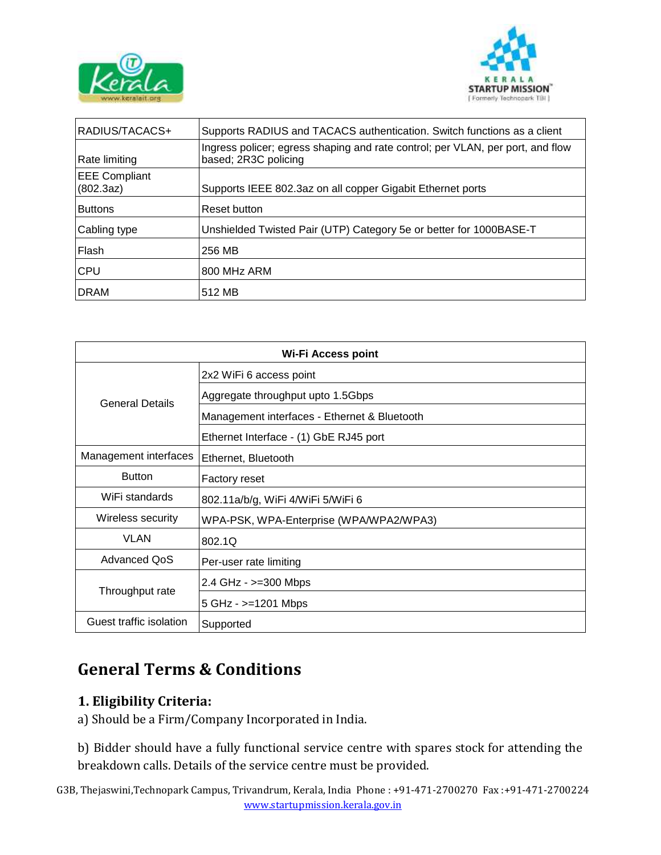



| RADIUS/TACACS+                    | Supports RADIUS and TACACS authentication. Switch functions as a client                                |  |
|-----------------------------------|--------------------------------------------------------------------------------------------------------|--|
| Rate limiting                     | Ingress policer; egress shaping and rate control; per VLAN, per port, and flow<br>based; 2R3C policing |  |
| <b>EEE Compliant</b><br>(802.3az) | Supports IEEE 802.3az on all copper Gigabit Ethernet ports                                             |  |
| <b>Buttons</b>                    | Reset button                                                                                           |  |
| Cabling type                      | Unshielded Twisted Pair (UTP) Category 5e or better for 1000BASE-T                                     |  |
| Flash                             | 256 MB                                                                                                 |  |
| <b>CPU</b>                        | 800 MHz ARM                                                                                            |  |
| <b>DRAM</b>                       | 512 MB                                                                                                 |  |

| <b>Wi-Fi Access point</b> |                                              |  |
|---------------------------|----------------------------------------------|--|
|                           | 2x2 WiFi 6 access point                      |  |
| <b>General Details</b>    | Aggregate throughput upto 1.5Gbps            |  |
|                           | Management interfaces - Ethernet & Bluetooth |  |
|                           | Ethernet Interface - (1) GbE RJ45 port       |  |
| Management interfaces     | Ethernet, Bluetooth                          |  |
| <b>Button</b>             | <b>Factory reset</b>                         |  |
| WiFi standards            | 802.11a/b/g, WiFi 4/WiFi 5/WiFi 6            |  |
| Wireless security         | WPA-PSK, WPA-Enterprise (WPA/WPA2/WPA3)      |  |
| VLAN                      | 802.1Q                                       |  |
| <b>Advanced QoS</b>       | Per-user rate limiting                       |  |
| Throughput rate           | 2.4 GHz - >=300 Mbps                         |  |
|                           | 5 GHz - >=1201 Mbps                          |  |
| Guest traffic isolation   | Supported                                    |  |

# **General Terms & Conditions**

## **1. Eligibility Criteria:**

a) Should be a Firm/Company Incorporated in India.

b) Bidder should have a fully functional service centre with spares stock for attending the breakdown calls. Details of the service centre must be provided.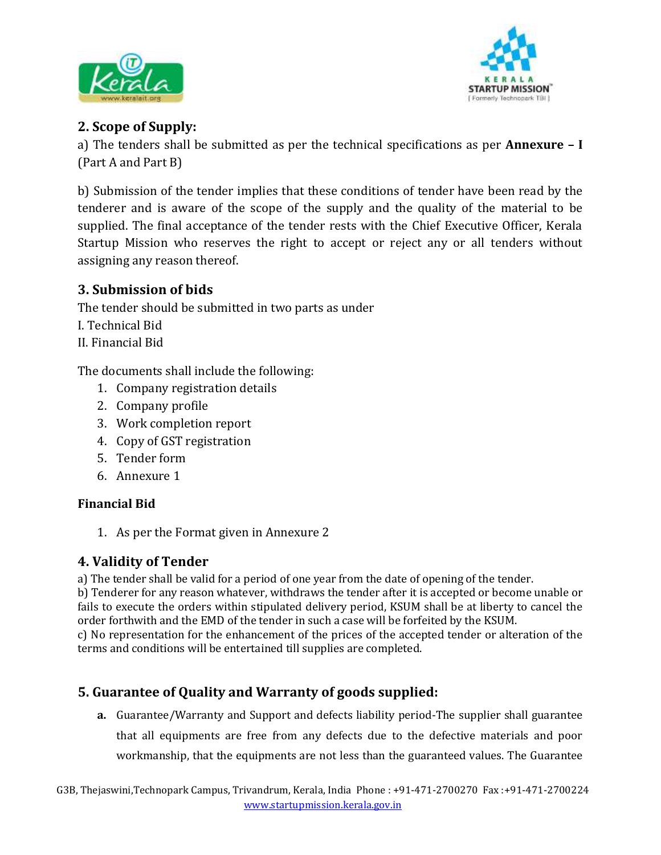



# **2. Scope of Supply:**

a) The tenders shall be submitted as per the technical specifications as per **Annexure – I**  (Part A and Part B)

b) Submission of the tender implies that these conditions of tender have been read by the tenderer and is aware of the scope of the supply and the quality of the material to be supplied. The final acceptance of the tender rests with the Chief Executive Officer, Kerala Startup Mission who reserves the right to accept or reject any or all tenders without assigning any reason thereof.

## **3. Submission of bids**

The tender should be submitted in two parts as under

- I. Technical Bid
- II. Financial Bid

The documents shall include the following:

- 1. Company registration details
- 2. Company profile
- 3. Work completion report
- 4. Copy of GST registration
- 5. Tender form
- 6. Annexure 1

## **Financial Bid**

1. As per the Format given in Annexure 2

# **4. Validity of Tender**

a) The tender shall be valid for a period of one year from the date of opening of the tender.

b) Tenderer for any reason whatever, withdraws the tender after it is accepted or become unable or fails to execute the orders within stipulated delivery period, KSUM shall be at liberty to cancel the order forthwith and the EMD of the tender in such a case will be forfeited by the KSUM.

c) No representation for the enhancement of the prices of the accepted tender or alteration of the terms and conditions will be entertained till supplies are completed.

# **5. Guarantee of Quality and Warranty of goods supplied:**

**a.** Guarantee/Warranty and Support and defects liability period-The supplier shall guarantee that all equipments are free from any defects due to the defective materials and poor workmanship, that the equipments are not less than the guaranteed values. The Guarantee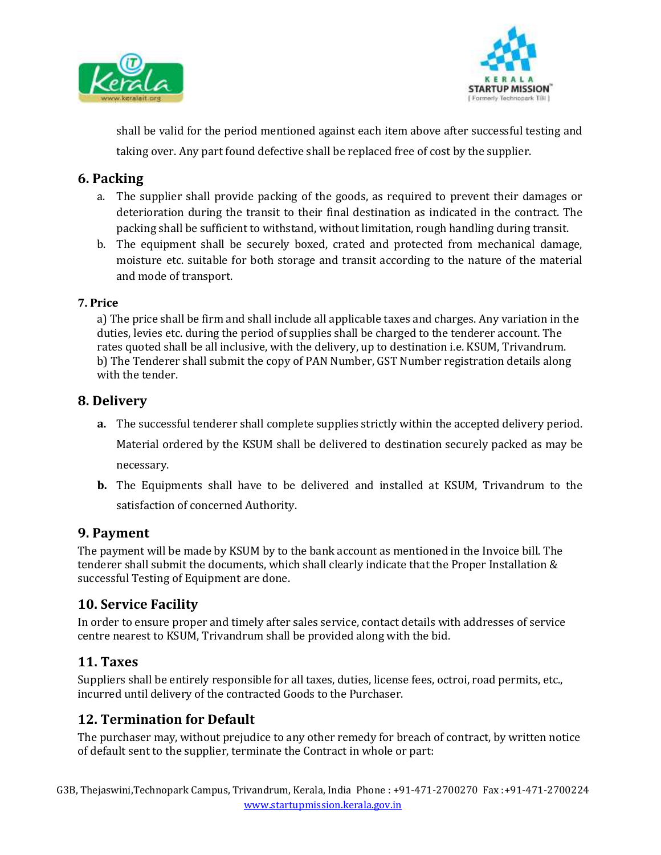



shall be valid for the period mentioned against each item above after successful testing and taking over. Any part found defective shall be replaced free of cost by the supplier.

#### **6. Packing**

- a. The supplier shall provide packing of the goods, as required to prevent their damages or deterioration during the transit to their final destination as indicated in the contract. The packing shall be sufficient to withstand, without limitation, rough handling during transit.
- b. The equipment shall be securely boxed, crated and protected from mechanical damage, moisture etc. suitable for both storage and transit according to the nature of the material and mode of transport.

#### **7. Price**

a) The price shall be firm and shall include all applicable taxes and charges. Any variation in the duties, levies etc. during the period of supplies shall be charged to the tenderer account. The rates quoted shall be all inclusive, with the delivery, up to destination i.e. KSUM, Trivandrum. b) The Tenderer shall submit the copy of PAN Number, GST Number registration details along with the tender.

### **8. Delivery**

- **a.** The successful tenderer shall complete supplies strictly within the accepted delivery period. Material ordered by the KSUM shall be delivered to destination securely packed as may be necessary.
- **b.** The Equipments shall have to be delivered and installed at KSUM, Trivandrum to the satisfaction of concerned Authority.

#### **9. Payment**

The payment will be made by KSUM by to the bank account as mentioned in the Invoice bill. The tenderer shall submit the documents, which shall clearly indicate that the Proper Installation & successful Testing of Equipment are done.

## **10. Service Facility**

In order to ensure proper and timely after sales service, contact details with addresses of service centre nearest to KSUM, Trivandrum shall be provided along with the bid.

#### **11. Taxes**

Suppliers shall be entirely responsible for all taxes, duties, license fees, octroi, road permits, etc., incurred until delivery of the contracted Goods to the Purchaser.

## **12. Termination for Default**

The purchaser may, without prejudice to any other remedy for breach of contract, by written notice of default sent to the supplier, terminate the Contract in whole or part: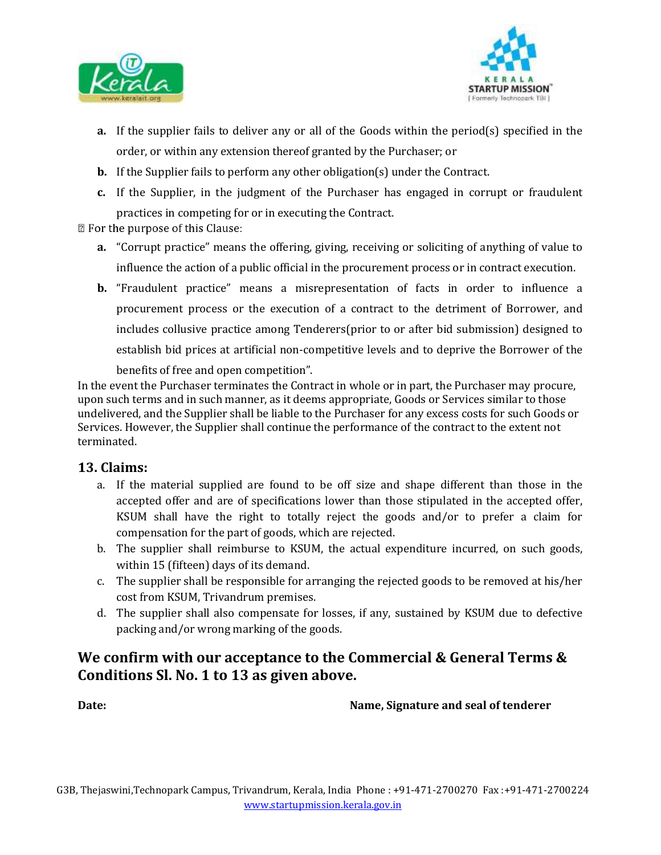



- **a.** If the supplier fails to deliver any or all of the Goods within the period(s) specified in the order, or within any extension thereof granted by the Purchaser; or
- **b.** If the Supplier fails to perform any other obligation(s) under the Contract.
- **c.** If the Supplier, in the judgment of the Purchaser has engaged in corrupt or fraudulent practices in competing for or in executing the Contract.

**Z** For the purpose of this Clause:

- **a.** "Corrupt practice" means the offering, giving, receiving or soliciting of anything of value to influence the action of a public official in the procurement process or in contract execution.
- **b.** "Fraudulent practice" means a misrepresentation of facts in order to influence a procurement process or the execution of a contract to the detriment of Borrower, and includes collusive practice among Tenderers(prior to or after bid submission) designed to establish bid prices at artificial non-competitive levels and to deprive the Borrower of the

benefits of free and open competition".

In the event the Purchaser terminates the Contract in whole or in part, the Purchaser may procure, upon such terms and in such manner, as it deems appropriate, Goods or Services similar to those undelivered, and the Supplier shall be liable to the Purchaser for any excess costs for such Goods or Services. However, the Supplier shall continue the performance of the contract to the extent not terminated.

#### **13. Claims:**

- a. If the material supplied are found to be off size and shape different than those in the accepted offer and are of specifications lower than those stipulated in the accepted offer, KSUM shall have the right to totally reject the goods and/or to prefer a claim for compensation for the part of goods, which are rejected.
- b. The supplier shall reimburse to KSUM, the actual expenditure incurred, on such goods, within 15 (fifteen) days of its demand.
- c. The supplier shall be responsible for arranging the rejected goods to be removed at his/her cost from KSUM, Trivandrum premises.
- d. The supplier shall also compensate for losses, if any, sustained by KSUM due to defective packing and/or wrong marking of the goods.

# **We confirm with our acceptance to the Commercial & General Terms & Conditions Sl. No. 1 to 13 as given above.**

**Date:** Name, Signature and seal of tenderer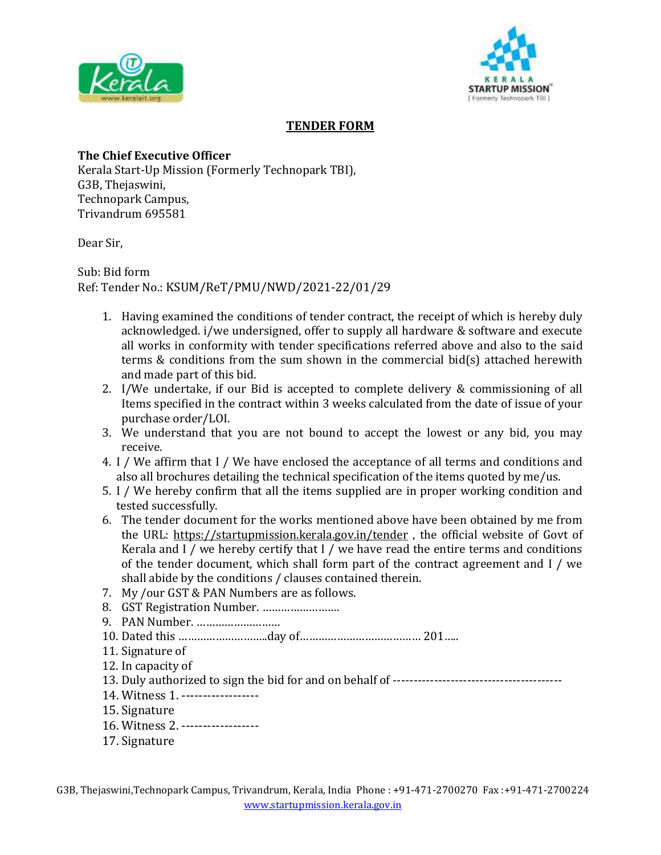



#### **TENDER FORM**

#### **The Chief Executive Officer**

Kerala Start-Up Mission (Formerly Technopark TBI), G3B, Thejaswini, Technopark Campus, Trivandrum 695581

Dear Sir,

Sub: Bid form Ref: Tender No.: KSUM/ReT/PMU/NWD/2021-22/01/29

- 1. Having examined the conditions of tender contract, the receipt of which is hereby duly acknowledged. i/we undersigned, offer to supply all hardware & software and execute all works in conformity with tender specifications referred above and also to the said terms & conditions from the sum shown in the commercial bid(s) attached herewith and made part of this bid.
- 2. I/We undertake, if our Bid is accepted to complete delivery & commissioning of all Items specified in the contract within 3 weeks calculated from the date of issue of your purchase order/LOI.
- 3. We understand that you are not bound to accept the lowest or any bid, you may receive.
- 4. I / We affirm that I / We have enclosed the acceptance of all terms and conditions and also all brochures detailing the technical specification of the items quoted by me/us.
- 5. I / We hereby confirm that all the items supplied are in proper working condition and tested successfully.
- 6. The tender document for the works mentioned above have been obtained by me from the URL: https://startupmission.kerala.gov.in/tender , the official website of Govt of Kerala and I / we hereby certify that I / we have read the entire terms and conditions of the tender document, which shall form part of the contract agreement and I / we shall abide by the conditions / clauses contained therein.
- 7. My /our GST & PAN Numbers are as follows.
- 8. GST Registration Number. …………………….
- 9. PAN Number. ………………………
- 10. Dated this ………………………..day of………………………………… 201…..
- 11. Signature of
- 12. In capacity of
- 13. Duly authorized to sign the bid for and on behalf of -----------------------------------------
- 14. Witness 1. ------------------
- 15. Signature
- 16. Witness 2. ------------------
- 17. Signature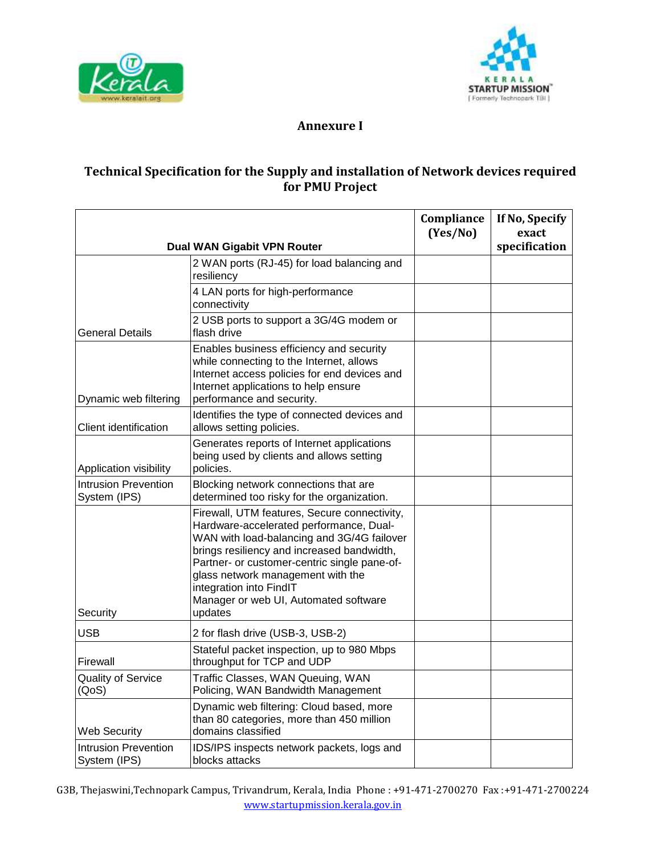



#### **Annexure I**

#### **Technical Specification for the Supply and installation of Network devices required for PMU Project**

|                                             |                                                                                                                                                                                                                                                                                                                                                         | Compliance<br>(Yes/No) | If No, Specify<br>exact |
|---------------------------------------------|---------------------------------------------------------------------------------------------------------------------------------------------------------------------------------------------------------------------------------------------------------------------------------------------------------------------------------------------------------|------------------------|-------------------------|
| Dual WAN Gigabit VPN Router                 |                                                                                                                                                                                                                                                                                                                                                         |                        | specification           |
|                                             | 2 WAN ports (RJ-45) for load balancing and<br>resiliency                                                                                                                                                                                                                                                                                                |                        |                         |
|                                             | 4 LAN ports for high-performance<br>connectivity                                                                                                                                                                                                                                                                                                        |                        |                         |
| <b>General Details</b>                      | 2 USB ports to support a 3G/4G modem or<br>flash drive                                                                                                                                                                                                                                                                                                  |                        |                         |
| Dynamic web filtering                       | Enables business efficiency and security<br>while connecting to the Internet, allows<br>Internet access policies for end devices and<br>Internet applications to help ensure<br>performance and security.                                                                                                                                               |                        |                         |
| Client identification                       | Identifies the type of connected devices and<br>allows setting policies.                                                                                                                                                                                                                                                                                |                        |                         |
| Application visibility                      | Generates reports of Internet applications<br>being used by clients and allows setting<br>policies.                                                                                                                                                                                                                                                     |                        |                         |
| <b>Intrusion Prevention</b><br>System (IPS) | Blocking network connections that are<br>determined too risky for the organization.                                                                                                                                                                                                                                                                     |                        |                         |
| Security                                    | Firewall, UTM features, Secure connectivity,<br>Hardware-accelerated performance, Dual-<br>WAN with load-balancing and 3G/4G failover<br>brings resiliency and increased bandwidth,<br>Partner- or customer-centric single pane-of-<br>glass network management with the<br>integration into FindIT<br>Manager or web UI, Automated software<br>updates |                        |                         |
| <b>USB</b>                                  | 2 for flash drive (USB-3, USB-2)                                                                                                                                                                                                                                                                                                                        |                        |                         |
| Firewall                                    | Stateful packet inspection, up to 980 Mbps<br>throughput for TCP and UDP                                                                                                                                                                                                                                                                                |                        |                         |
| <b>Quality of Service</b><br>(QoS)          | Traffic Classes, WAN Queuing, WAN<br>Policing, WAN Bandwidth Management                                                                                                                                                                                                                                                                                 |                        |                         |
| <b>Web Security</b>                         | Dynamic web filtering: Cloud based, more<br>than 80 categories, more than 450 million<br>domains classified                                                                                                                                                                                                                                             |                        |                         |
| <b>Intrusion Prevention</b><br>System (IPS) | IDS/IPS inspects network packets, logs and<br>blocks attacks                                                                                                                                                                                                                                                                                            |                        |                         |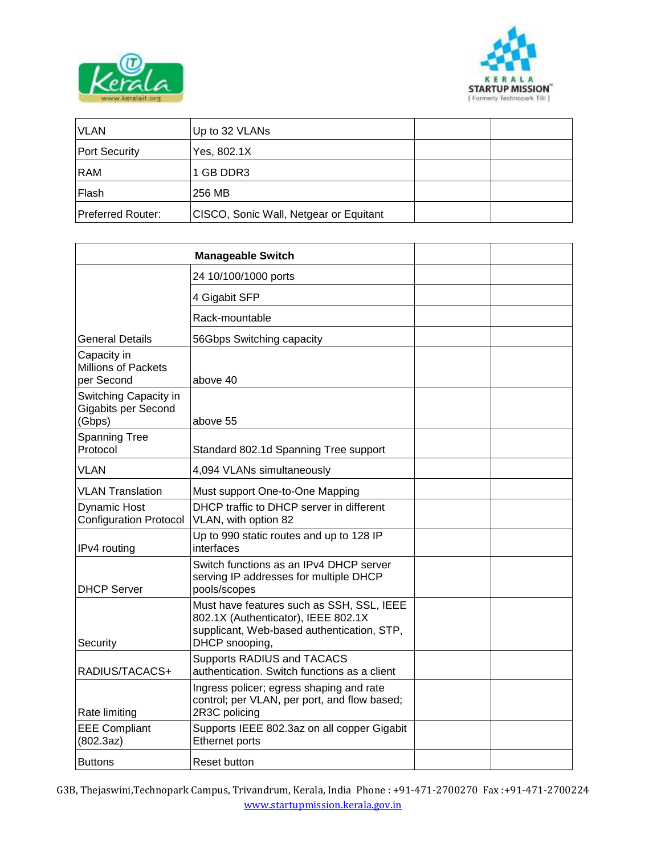



| <b>VLAN</b>          | Up to 32 VLANs                         |  |
|----------------------|----------------------------------------|--|
| <b>Port Security</b> | Yes, 802.1X                            |  |
| <b>RAM</b>           | 1 GB DDR3                              |  |
| Flash                | 256 MB                                 |  |
| Preferred Router:    | CISCO, Sonic Wall, Netgear or Equitant |  |

|                                                               | <b>Manageable Switch</b>                                                                                                                         |  |
|---------------------------------------------------------------|--------------------------------------------------------------------------------------------------------------------------------------------------|--|
|                                                               | 24 10/100/1000 ports                                                                                                                             |  |
|                                                               | 4 Gigabit SFP                                                                                                                                    |  |
|                                                               | Rack-mountable                                                                                                                                   |  |
| <b>General Details</b>                                        | 56Gbps Switching capacity                                                                                                                        |  |
| Capacity in<br><b>Millions of Packets</b><br>per Second       | above 40                                                                                                                                         |  |
| Switching Capacity in<br><b>Gigabits per Second</b><br>(Gbps) | above 55                                                                                                                                         |  |
| <b>Spanning Tree</b><br>Protocol                              | Standard 802.1d Spanning Tree support                                                                                                            |  |
| <b>VLAN</b>                                                   | 4,094 VLANs simultaneously                                                                                                                       |  |
| <b>VLAN Translation</b>                                       | Must support One-to-One Mapping                                                                                                                  |  |
| <b>Dynamic Host</b><br><b>Configuration Protocol</b>          | DHCP traffic to DHCP server in different<br>VLAN, with option 82                                                                                 |  |
| IPv4 routing                                                  | Up to 990 static routes and up to 128 IP<br>interfaces                                                                                           |  |
| <b>DHCP Server</b>                                            | Switch functions as an IPv4 DHCP server<br>serving IP addresses for multiple DHCP<br>pools/scopes                                                |  |
| Security                                                      | Must have features such as SSH, SSL, IEEE<br>802.1X (Authenticator), IEEE 802.1X<br>supplicant, Web-based authentication, STP,<br>DHCP snooping, |  |
| RADIUS/TACACS+                                                | Supports RADIUS and TACACS<br>authentication. Switch functions as a client                                                                       |  |
| Rate limiting                                                 | Ingress policer; egress shaping and rate<br>control; per VLAN, per port, and flow based;<br>2R3C policing                                        |  |
| <b>EEE Compliant</b><br>(802.3az)                             | Supports IEEE 802.3az on all copper Gigabit<br>Ethernet ports                                                                                    |  |
| <b>Buttons</b>                                                | Reset button                                                                                                                                     |  |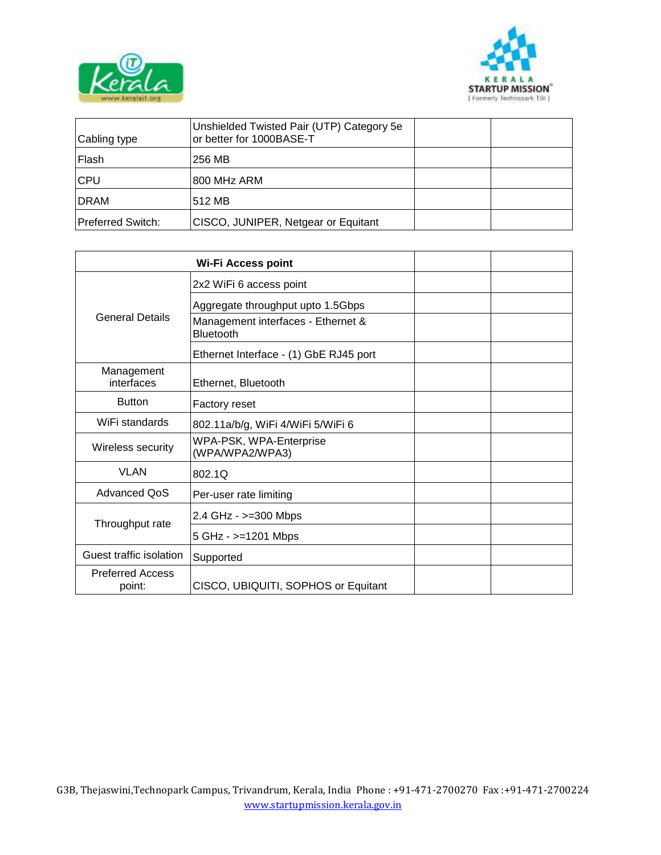



| Cabling type      | Unshielded Twisted Pair (UTP) Category 5e<br>or better for 1000BASE-T |  |
|-------------------|-----------------------------------------------------------------------|--|
| Flash             | 256 MB                                                                |  |
| <b>CPU</b>        | 800 MHz ARM                                                           |  |
| <b>DRAM</b>       | 512 MB                                                                |  |
| Preferred Switch: | CISCO, JUNIPER, Netgear or Equitant                                   |  |

|                                   | 2x2 WiFi 6 access point                                |  |
|-----------------------------------|--------------------------------------------------------|--|
|                                   | Aggregate throughput upto 1.5Gbps                      |  |
| <b>General Details</b>            | Management interfaces - Ethernet &<br><b>Bluetooth</b> |  |
|                                   | Ethernet Interface - (1) GbE RJ45 port                 |  |
| Management<br>interfaces          | Ethernet, Bluetooth                                    |  |
| <b>Button</b>                     | Factory reset                                          |  |
| WiFi standards                    | 802.11a/b/g, WiFi 4/WiFi 5/WiFi 6                      |  |
| Wireless security                 | WPA-PSK, WPA-Enterprise<br>(WPA/WPA2/WPA3)             |  |
| <b>VLAN</b>                       | 802.10                                                 |  |
| <b>Advanced QoS</b>               | Per-user rate limiting                                 |  |
|                                   | 2.4 GHz - $>=$ 300 Mbps                                |  |
| Throughput rate                   | 5 GHz - >=1201 Mbps                                    |  |
| Guest traffic isolation           | Supported                                              |  |
| <b>Preferred Access</b><br>point: | CISCO, UBIQUITI, SOPHOS or Equitant                    |  |